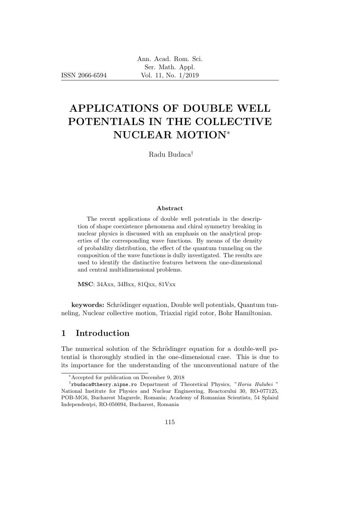ISSN 2066-6594

# APPLICATIONS OF DOUBLE WELL POTENTIALS IN THE COLLECTIVE NUCLEAR MOTION<sup>∗</sup>

Radu Budaca†

#### Abstract

The recent applications of double well potentials in the description of shape coexistence phenomena and chiral symmetry breaking in nuclear physics is discussed with an emphasis on the analytical properties of the corresponding wave functions. By means of the density of probability distribution, the effect of the quantum tunneling on the composition of the wave functions is dully investigated. The results are used to identify the distinctive features between the one-dimensional and central multidimensional problems.

MSC: 34Axx, 34Bxx, 81Qxx, 81Vxx

keywords: Schrödinger equation, Double well potentials, Quantum tunneling, Nuclear collective motion, Triaxial rigid rotor, Bohr Hamiltonian.

#### 1 Introduction

The numerical solution of the Schrödinger equation for a double-well potential is thoroughly studied in the one-dimensional case. This is due to its importance for the understanding of the unconventional nature of the

<sup>∗</sup>Accepted for publication on December 9, 2018

<sup>&</sup>lt;sup>†</sup>rbudaca@theory.nipne.ro Department of Theoretical Physics, "Horia Hulubei" National Institute for Physics and Nuclear Engineering, Reactorului 30, RO-077125, POB-MG6, Bucharest Magurele, Romania; Academy of Romanian Scientists, 54 Splaiul Independenței, RO-050094, Bucharest, Romania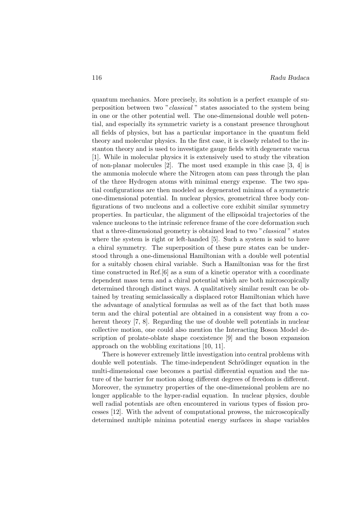quantum mechanics. More precisely, its solution is a perfect example of superposition between two "classical " states associated to the system being in one or the other potential well. The one-dimensional double well potential, and especially its symmetric variety is a constant presence throughout all fields of physics, but has a particular importance in the quantum field theory and molecular physics. In the first case, it is closely related to the instanton theory and is used to investigate gauge fields with degenerate vacua [1]. While in molecular physics it is extensively used to study the vibration of non-planar molecules [2]. The most used example in this case [3, 4] is the ammonia molecule where the Nitrogen atom can pass through the plan of the three Hydrogen atoms with minimal energy expense. The two spatial configurations are then modeled as degenerated minima of a symmetric one-dimensional potential. In nuclear physics, geometrical three body configurations of two nucleons and a collective core exhibit similar symmetry properties. In particular, the alignment of the ellipsoidal trajectories of the valence nucleons to the intrinsic reference frame of the core deformation such that a three-dimensional geometry is obtained lead to two "classical " states where the system is right or left-handed [5]. Such a system is said to have a chiral symmetry. The superposition of these pure states can be understood through a one-dimensional Hamiltonian with a double well potential for a suitably chosen chiral variable. Such a Hamiltonian was for the first time constructed in Ref.[6] as a sum of a kinetic operator with a coordinate dependent mass term and a chiral potential which are both microscopically determined through distinct ways. A qualitatively similar result can be obtained by treating semiclassically a displaced rotor Hamiltonian which have the advantage of analytical formulas as well as of the fact that both mass term and the chiral potential are obtained in a consistent way from a coherent theory [7, 8]. Regarding the use of double well potentials in nuclear collective motion, one could also mention the Interacting Boson Model description of prolate-oblate shape coexistence [9] and the boson expansion approach on the wobbling excitations [10, 11].

There is however extremely little investigation into central problems with double well potentials. The time-independent Schrödinger equation in the multi-dimensional case becomes a partial differential equation and the nature of the barrier for motion along different degrees of freedom is different. Moreover, the symmetry properties of the one-dimensional problem are no longer applicable to the hyper-radial equation. In nuclear physics, double well radial potentials are often encountered in various types of fission processes [12]. With the advent of computational prowess, the microscopically determined multiple minima potential energy surfaces in shape variables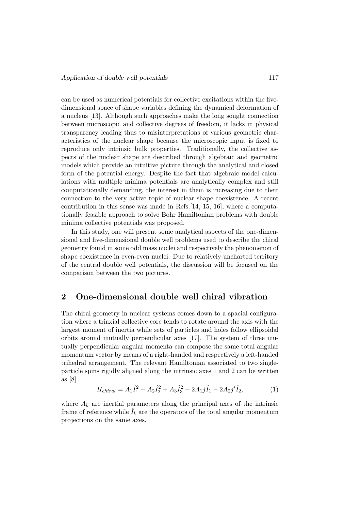can be used as numerical potentials for collective excitations within the fivedimensional space of shape variables defining the dynamical deformation of a nucleus [13]. Although such approaches make the long sought connection between microscopic and collective degrees of freedom, it lacks in physical transparency leading thus to misinterpretations of various geometric characteristics of the nuclear shape because the microscopic input is fixed to reproduce only intrinsic bulk properties. Traditionally, the collective aspects of the nuclear shape are described through algebraic and geometric models which provide an intuitive picture through the analytical and closed form of the potential energy. Despite the fact that algebraic model calculations with multiple minima potentials are analytically complex and still computationally demanding, the interest in them is increasing due to their connection to the very active topic of nuclear shape coexistence. A recent contribution in this sense was made in Refs.  $[14, 15, 16]$ , where a computationally feasible approach to solve Bohr Hamiltonian problems with double minima collective potentials was proposed.

In this study, one will present some analytical aspects of the one-dimensional and five-dimensional double well problems used to describe the chiral geometry found in some odd mass nuclei and respectively the phenomenon of shape coexistence in even-even nuclei. Due to relatively uncharted territory of the central double well potentials, the discussion will be focused on the comparison between the two pictures.

### 2 One-dimensional double well chiral vibration

The chiral geometry in nuclear systems comes down to a spacial configuration where a triaxial collective core tends to rotate around the axis with the largest moment of inertia while sets of particles and holes follow ellipsoidal orbits around mutually perpendicular axes [17]. The system of three mutually perpendicular angular momenta can compose the same total angular momentum vector by means of a right-handed and respectively a left-handed trihedral arrangement. The relevant Hamiltonian associated to two singleparticle spins rigidly aligned along the intrinsic axes 1 and 2 can be written as [8]

$$
H_{chiral} = A_1 \hat{I}_1^2 + A_2 \hat{I}_2^2 + A_3 \hat{I}_3^2 - 2A_1 j \hat{I}_1 - 2A_2 j' \hat{I}_2,\tag{1}
$$

where  $A_k$  are inertial parameters along the principal axes of the intrinsic frame of reference while  $\hat{I}_k$  are the operators of the total angular momentum projections on the same axes.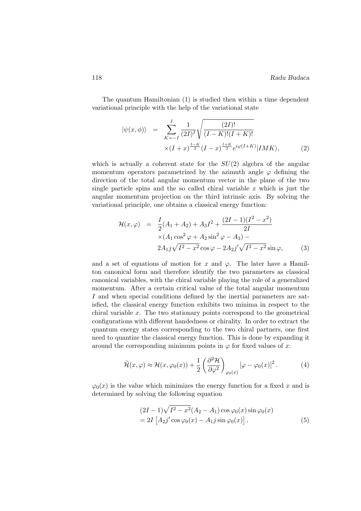The quantum Hamiltonian (1) is studied then within a time dependent variational principle with the help of the variational state

$$
|\psi(x,\phi)\rangle = \sum_{K=-I}^{I} \frac{1}{(2I)^{I}} \sqrt{\frac{(2I)!}{(I-K)!(I+K)!}} \times (I+x)^{\frac{I-K}{2}} (I-x)^{\frac{I+K}{2}} e^{i\varphi(I+K)} |IMK\rangle, \tag{2}
$$

which is actually a coherent state for the  $SU(2)$  algebra of the angular momentum operators parametrized by the azimuth angle  $\varphi$  defining the direction of the total angular momentum vector in the plane of the two single particle spins and the so called chiral variable  $x$  which is just the angular momentum projection on the third intrinsic axis. By solving the variational principle, one obtains a classical energy function:

$$
\mathcal{H}(x,\varphi) = \frac{I}{2}(A_1 + A_2) + A_3 I^2 + \frac{(2I - 1)(I^2 - x^2)}{2I} \times (A_1 \cos^2 \varphi + A_2 \sin^2 \varphi - A_3) - 2A_1 j \sqrt{I^2 - x^2} \cos \varphi - 2A_2 j' \sqrt{I^2 - x^2} \sin \varphi, \tag{3}
$$

and a set of equations of motion for x and  $\varphi$ . The later have a Hamilton canonical form and therefore identify the two parameters as classical canonical variables, with the chiral variable playing the role of a generalized momentum. After a certain critical value of the total angular momentum I and when special conditions defined by the inertial parameters are satisfied, the classical energy function exhibits two minima in respect to the chiral variable  $x$ . The two stationary points correspond to the geometrical configurations with different handedness or chirality. In order to extract the quantum energy states corresponding to the two chiral partners, one first need to quantize the classical energy function. This is done by expanding it around the corresponding minimum points in  $\varphi$  for fixed values of x:

$$
\tilde{\mathcal{H}}(x,\varphi) \approx \mathcal{H}(x,\varphi_0(x)) + \frac{1}{2} \left( \frac{\partial^2 \mathcal{H}}{\partial \varphi^2} \right)_{\varphi_0(x)} \left[ \varphi - \varphi_0(x) \right]^2. \tag{4}
$$

 $\varphi_0(x)$  is the value which minimizes the energy function for a fixed x and is determined by solving the following equation

$$
(2I - 1)\sqrt{I^2 - x^2}(A_2 - A_1)\cos\varphi_0(x)\sin\varphi_0(x)
$$
  
= 2I [A<sub>2</sub>j'\cos\varphi\_0(x) - A<sub>1</sub>j\sin\varphi\_0(x)]. (5)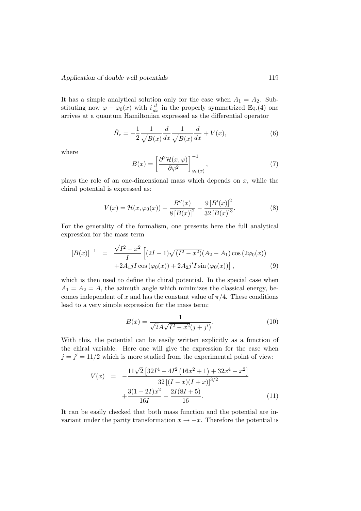It has a simple analytical solution only for the case when  $A_1 = A_2$ . Substituting now  $\varphi - \varphi_0(x)$  with  $i\frac{d}{dx}$  in the properly symmetrized Eq.(4) one arrives at a quantum Hamiltonian expressed as the differential operator

$$
\hat{H}_c = -\frac{1}{2} \frac{1}{\sqrt{B(x)}} \frac{d}{dx} \frac{1}{\sqrt{B(x)}} \frac{d}{dx} + V(x),\tag{6}
$$

where

$$
B(x) = \left[\frac{\partial^2 \mathcal{H}(x,\varphi)}{\partial \varphi^2}\right]_{\varphi_0(x)}^{-1},\tag{7}
$$

plays the role of an one-dimensional mass which depends on  $x$ , while the chiral potential is expressed as:

$$
V(x) = \mathcal{H}(x, \varphi_0(x)) + \frac{B''(x)}{8\left[B(x)\right]^2} - \frac{9\left[B'(x)\right]^2}{32\left[B(x)\right]^3}.
$$
 (8)

For the generality of the formalism, one presents here the full analytical expression for the mass term

$$
[B(x)]^{-1} = \frac{\sqrt{I^2 - x^2}}{I} \left[ (2I - 1)\sqrt{(I^2 - x^2)} (A_2 - A_1) \cos(2\varphi_0(x)) + 2A_1jI \cos(\varphi_0(x)) + 2A_2j'I \sin(\varphi_0(x)) \right],
$$
\n(9)

which is then used to define the chiral potential. In the special case when  $A_1 = A_2 = A$ , the azimuth angle which minimizes the classical energy, becomes independent of x and has the constant value of  $\pi/4$ . These conditions lead to a very simple expression for the mass term:

$$
B(x) = \frac{1}{\sqrt{2}A\sqrt{I^2 - x^2}(j + j')}.
$$
\n(10)

With this, the potential can be easily written explicitly as a function of the chiral variable. Here one will give the expression for the case when  $j = j' = 11/2$  which is more studied from the experimental point of view:

$$
V(x) = -\frac{11\sqrt{2}\left[32I^4 - 4I^2\left(16x^2 + 1\right) + 32x^4 + x^2\right]}{32\left[(I-x)(I+x)\right]^{3/2}} + \frac{3(1-2I)x^2}{16I} + \frac{2I(8I+5)}{16}.
$$
 (11)

It can be easily checked that both mass function and the potential are invariant under the parity transformation  $x \to -x$ . Therefore the potential is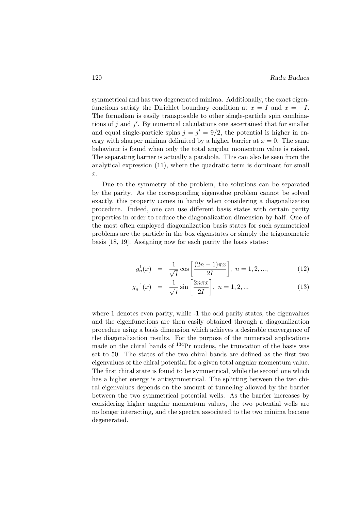symmetrical and has two degenerated minima. Additionally, the exact eigenfunctions satisfy the Dirichlet boundary condition at  $x = I$  and  $x = -I$ . The formalism is easily transposable to other single-particle spin combinations of j and  $j'$ . By numerical calculations one ascertained that for smaller and equal single-particle spins  $j = j' = 9/2$ , the potential is higher in energy with sharper minima delimited by a higher barrier at  $x = 0$ . The same behaviour is found when only the total angular momentum value is raised. The separating barrier is actually a parabola. This can also be seen from the analytical expression (11), where the quadratic term is dominant for small x.

Due to the symmetry of the problem, the solutions can be separated by the parity. As the corresponding eigenvalue problem cannot be solved exactly, this property comes in handy when considering a diagonalization procedure. Indeed, one can use different basis states with certain parity properties in order to reduce the diagonalization dimension by half. One of the most often employed diagonalization basis states for such symmetrical problems are the particle in the box eigenstates or simply the trigonometric basis [18, 19]. Assigning now for each parity the basis states:

$$
g_n^1(x) = \frac{1}{\sqrt{I}} \cos\left[\frac{(2n-1)\pi x}{2I}\right], \ n = 1, 2, ..., \tag{12}
$$

$$
g_n^{-1}(x) = \frac{1}{\sqrt{I}} \sin\left[\frac{2n\pi x}{2I}\right], \ n = 1, 2, \dots
$$
 (13)

where 1 denotes even parity, while -1 the odd parity states, the eigenvalues and the eigenfunctions are then easily obtained through a diagonalization procedure using a basis dimension which achieves a desirable convergence of the diagonalization results. For the purpose of the numerical applications made on the chiral bands of <sup>134</sup>Pr nucleus, the truncation of the basis was set to 50. The states of the two chiral bands are defined as the first two eigenvalues of the chiral potential for a given total angular momentum value. The first chiral state is found to be symmetrical, while the second one which has a higher energy is antisymmetrical. The splitting between the two chiral eigenvalues depends on the amount of tunneling allowed by the barrier between the two symmetrical potential wells. As the barrier increases by considering higher angular momentum values, the two potential wells are no longer interacting, and the spectra associated to the two minima become degenerated.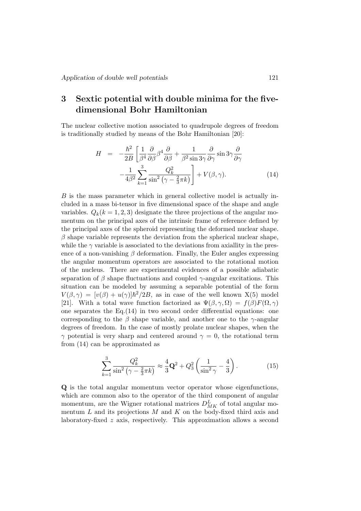## 3 Sextic potential with double minima for the fivedimensional Bohr Hamiltonian

The nuclear collective motion associated to quadrupole degrees of freedom is traditionally studied by means of the Bohr Hamiltonian [20]:

$$
H = -\frac{\hbar^2}{2B} \left[ \frac{1}{\beta^4} \frac{\partial}{\partial \beta} \beta^4 \frac{\partial}{\partial \beta} + \frac{1}{\beta^2 \sin 3\gamma} \frac{\partial}{\partial \gamma} \sin 3\gamma \frac{\partial}{\partial \gamma} - \frac{1}{4\beta^2} \sum_{k=1}^3 \frac{Q_k^2}{\sin^2 \left(\gamma - \frac{2}{3}\pi k\right)} \right] + V(\beta, \gamma). \tag{14}
$$

B is the mass parameter which in general collective model is actually included in a mass bi-tensor in five dimensional space of the shape and angle variables.  $Q_k(k = 1, 2, 3)$  designate the three projections of the angular momentum on the principal axes of the intrinsic frame of reference defined by the principal axes of the spheroid representing the deformed nuclear shape.  $\beta$  shape variable represents the deviation from the spherical nuclear shape, while the  $\gamma$  variable is associated to the deviations from axiallity in the presence of a non-vanishing  $\beta$  deformation. Finally, the Euler angles expressing the angular momentum operators are associated to the rotational motion of the nucleus. There are experimental evidences of a possible adiabatic separation of  $\beta$  shape fluctuations and coupled  $\gamma$ -angular excitations. This situation can be modeled by assuming a separable potential of the form  $V(\beta, \gamma) = [v(\beta) + u(\gamma)]\hbar^2/2B$ , as in case of the well known X(5) model [21]. With a total wave function factorized as  $\Psi(\beta, \gamma, \Omega) = f(\beta) F(\Omega, \gamma)$ one separates the  $Eq.(14)$  in two second order differential equations: one corresponding to the  $\beta$  shape variable, and another one to the  $\gamma$ -angular degrees of freedom. In the case of mostly prolate nuclear shapes, when the  $\gamma$  potential is very sharp and centered around  $\gamma = 0$ , the rotational term from (14) can be approximated as

$$
\sum_{k=1}^{3} \frac{Q_k^2}{\sin^2\left(\gamma - \frac{2}{3}\pi k\right)} \approx \frac{4}{3}\mathbf{Q}^2 + Q_3^2 \left(\frac{1}{\sin^2\gamma} - \frac{4}{3}\right). \tag{15}
$$

Q is the total angular momentum vector operator whose eigenfunctions, which are common also to the operator of the third component of angular momentum, are the Wigner rotational matrices  $D_{MK}^L$  of total angular momentum  $L$  and its projections  $M$  and  $K$  on the body-fixed third axis and laboratory-fixed z axis, respectively. This approximation allows a second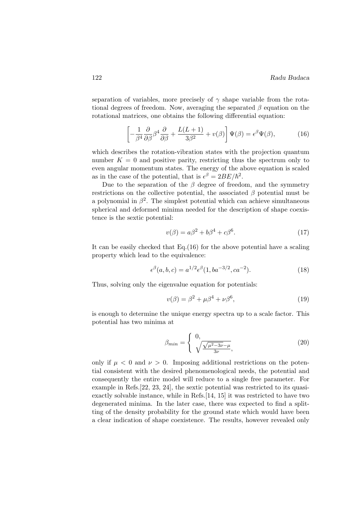separation of variables, more precisely of  $\gamma$  shape variable from the rotational degrees of freedom. Now, averaging the separated  $\beta$  equation on the rotational matrices, one obtains the following differential equation:

$$
\left[ -\frac{1}{\beta^4} \frac{\partial}{\partial \beta} \beta^4 \frac{\partial}{\partial \beta} + \frac{L(L+1)}{3\beta^2} + v(\beta) \right] \Psi(\beta) = \epsilon^\beta \Psi(\beta), \tag{16}
$$

which describes the rotation-vibration states with the projection quantum number  $K = 0$  and positive parity, restricting thus the spectrum only to even angular momentum states. The energy of the above equation is scaled as in the case of the potential, that is  $\epsilon^{\beta} = 2BE/\hbar^2$ .

Due to the separation of the  $\beta$  degree of freedom, and the symmetry restrictions on the collective potential, the associated  $\beta$  potential must be a polynomial in  $\beta^2$ . The simplest potential which can achieve simultaneous spherical and deformed minima needed for the description of shape coexistence is the sextic potential:

$$
v(\beta) = a\beta^2 + b\beta^4 + c\beta^6. \tag{17}
$$

It can be easily checked that Eq.(16) for the above potential have a scaling property which lead to the equivalence:

$$
\epsilon^{\beta}(a,b,c) = a^{1/2} \epsilon^{\beta}(1,ba^{-3/2},ca^{-2}).
$$
\n(18)

Thus, solving only the eigenvalue equation for potentials:

$$
v(\beta) = \beta^2 + \mu \beta^4 + \nu \beta^6,\tag{19}
$$

is enough to determine the unique energy spectra up to a scale factor. This potential has two minima at

$$
\beta_{min} = \begin{cases} 0, & (20) \\ \sqrt{\frac{\sqrt{\mu^2 - 3\nu} - \mu}{3\nu}}, & \end{cases}
$$

only if  $\mu < 0$  and  $\nu > 0$ . Imposing additional restrictions on the potential consistent with the desired phenomenological needs, the potential and consequently the entire model will reduce to a single free parameter. For example in Refs.[22, 23, 24], the sextic potential was restricted to its quasiexactly solvable instance, while in Refs.[14, 15] it was restricted to have two degenerated minima. In the later case, there was expected to find a splitting of the density probability for the ground state which would have been a clear indication of shape coexistence. The results, however revealed only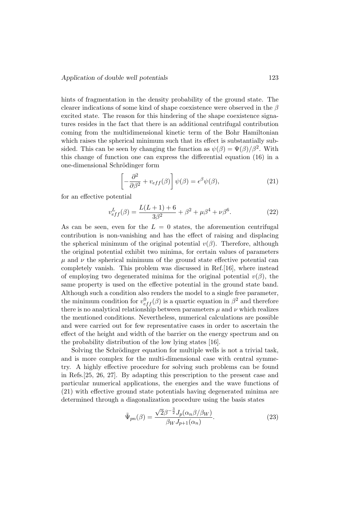hints of fragmentation in the density probability of the ground state. The clearer indications of some kind of shape coexistence were observed in the  $\beta$ excited state. The reason for this hindering of the shape coexistence signatures resides in the fact that there is an additional centrifugal contribution coming from the multidimensional kinetic term of the Bohr Hamiltonian which raises the spherical minimum such that its effect is substantially subsided. This can be seen by changing the function as  $\psi(\beta) = \Psi(\beta)/\beta^2$ . With this change of function one can express the differential equation (16) in a one-dimensional Schrödinger form

$$
\left[-\frac{\partial^2}{\partial \beta^2} + v_{eff}(\beta)\right] \psi(\beta) = \epsilon^\beta \psi(\beta),\tag{21}
$$

for an effective potential

$$
v_{eff}^L(\beta) = \frac{L(L+1) + 6}{3\beta^2} + \beta^2 + \mu\beta^4 + \nu\beta^6.
$$
 (22)

As can be seen, even for the  $L = 0$  states, the aforemention centrifugal contribution is non-vanishing and has the effect of raising and displacing the spherical minimum of the original potential  $v(\beta)$ . Therefore, although the original potential exhibit two minima, for certain values of parameters  $\mu$  and  $\nu$  the spherical minimum of the ground state effective potential can completely vanish. This problem was discussed in Ref.[16], where instead of employing two degenerated minima for the original potential  $v(\beta)$ , the same property is used on the effective potential in the ground state band. Although such a condition also renders the model to a single free parameter, the minimum condition for  $v_{eff}^{0}(\beta)$  is a quartic equation in  $\beta^{2}$  and therefore there is no analytical relationship between parameters  $\mu$  and  $\nu$  which realizes the mentioned conditions. Nevertheless, numerical calculations are possible and were carried out for few representative cases in order to ascertain the effect of the height and width of the barrier on the energy spectrum and on the probability distribution of the low lying states [16].

Solving the Schrödinger equation for multiple wells is not a trivial task, and is more complex for the multi-dimensional case with central symmetry. A highly effective procedure for solving such problems can be found in Refs.[25, 26, 27]. By adapting this prescription to the present case and particular numerical applications, the energies and the wave functions of (21) with effective ground state potentials having degenerated minima are determined through a diagonalization procedure using the basis states

$$
\tilde{\Psi}_{pn}(\beta) = \frac{\sqrt{2}\beta^{-\frac{3}{2}}J_p(\alpha_n\beta/\beta_W)}{\beta_W J_{p+1}(\alpha_n)}.
$$
\n(23)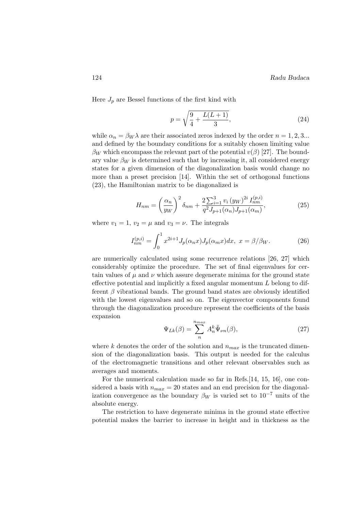Here  $J_p$  are Bessel functions of the first kind with

$$
p = \sqrt{\frac{9}{4} + \frac{L(L+1)}{3}},\tag{24}
$$

while  $\alpha_n = \beta_W \lambda$  are their associated zeros indexed by the order  $n = 1, 2, 3...$ and defined by the boundary conditions for a suitably chosen limiting value  $\beta_W$  which encompass the relevant part of the potential  $v(\beta)$  [27]. The boundary value  $\beta_W$  is determined such that by increasing it, all considered energy states for a given dimension of the diagonalization basis would change no more than a preset precision [14]. Within the set of orthogonal functions (23), the Hamiltonian matrix to be diagonalized is

$$
H_{nm} = \left(\frac{\alpha_n}{y_W}\right)^2 \delta_{nm} + \frac{2\sum_{i=1}^3 v_i (y_W)^{2i} I_{nm}^{(p,i)}}{q^2 J_{p+1}(\alpha_n) J_{p+1}(\alpha_m)},\tag{25}
$$

where  $v_1 = 1$ ,  $v_2 = \mu$  and  $v_3 = \nu$ . The integrals

$$
I_{nm}^{(p,i)} = \int_0^1 x^{2i+1} J_p(\alpha_n x) J_p(\alpha_m x) dx, \ x = \beta/\beta_W.
$$
 (26)

are numerically calculated using some recurrence relations [26, 27] which considerably optimize the procedure. The set of final eigenvalues for certain values of  $\mu$  and  $\nu$  which assure degenerate minima for the ground state effective potential and implicitly a fixed angular momentum L belong to different  $\beta$  vibrational bands. The ground band states are obviously identified with the lowest eigenvalues and so on. The eigenvector components found through the diagonalization procedure represent the coefficients of the basis expansion

$$
\Psi_{Lk}(\beta) = \sum_{n=1}^{n_{max}} A_n^k \tilde{\Psi}_{\nu n}(\beta), \qquad (27)
$$

where k denotes the order of the solution and  $n_{max}$  is the truncated dimension of the diagonalization basis. This output is needed for the calculus of the electromagnetic transitions and other relevant observables such as averages and moments.

For the numerical calculation made so far in Refs.[14, 15, 16], one considered a basis with  $n_{max} = 20$  states and an end precision for the diagonalization convergence as the boundary  $\beta_W$  is varied set to 10<sup>-7</sup> units of the absolute energy.

The restriction to have degenerate minima in the ground state effective potential makes the barrier to increase in height and in thickness as the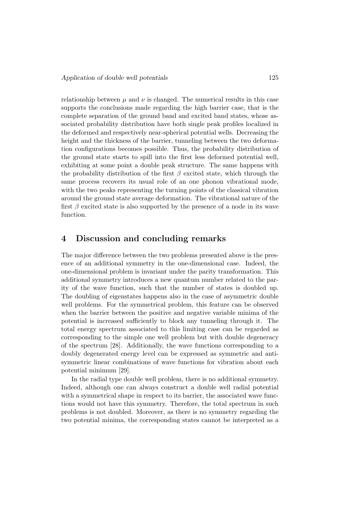relationship between  $\mu$  and  $\nu$  is changed. The numerical results in this case supports the conclusions made regarding the high barrier case, that is the complete separation of the ground band and excited band states, whose associated probability distribution have both single peak profiles localized in the deformed and respectively near-spherical potential wells. Decreasing the height and the thickness of the barrier, tunneling between the two deformation configurations becomes possible. Thus, the probability distribution of the ground state starts to spill into the first less deformed potential well, exhibiting at some point a double peak structure. The same happens with the probability distribution of the first  $\beta$  excited state, which through the same process recovers its usual role of an one phonon vibrational mode, with the two peaks representing the turning points of the classical vibration around the ground state average deformation. The vibrational nature of the first  $\beta$  excited state is also supported by the presence of a node in its wave function.

#### 4 Discussion and concluding remarks

The major difference between the two problems presented above is the presence of an additional symmetry in the one-dimensional case. Indeed, the one-dimensional problem is invariant under the parity transformation. This additional symmetry introduces a new quantum number related to the parity of the wave function, such that the number of states is doubled up. The doubling of eigenstates happens also in the case of asymmetric double well problems. For the symmetrical problem, this feature can be observed when the barrier between the positive and negative variable minima of the potential is increased sufficiently to block any tunneling through it. The total energy spectrum associated to this limiting case can be regarded as corresponding to the simple one well problem but with double degeneracy of the spectrum [28]. Additionally, the wave functions corresponding to a doubly degenerated energy level can be expressed as symmetric and antisymmetric linear combinations of wave functions for vibration about each potential minimum [29].

In the radial type double well problem, there is no additional symmetry. Indeed, although one can always construct a double well radial potential with a symmetrical shape in respect to its barrier, the associated wave functions would not have this symmetry. Therefore, the total spectrum in such problems is not doubled. Moreover, as there is no symmetry regarding the two potential minima, the corresponding states cannot be interpreted as a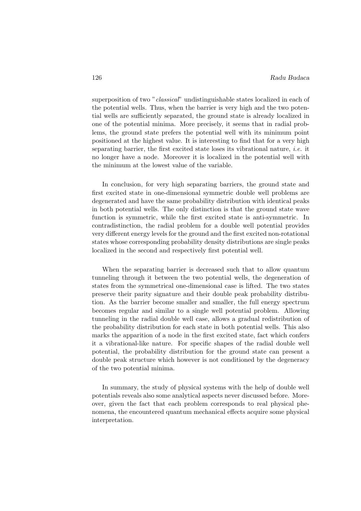superposition of two "*classical*" undistinguishable states localized in each of the potential wells. Thus, when the barrier is very high and the two potential wells are sufficiently separated, the ground state is already localized in one of the potential minima. More precisely, it seems that in radial problems, the ground state prefers the potential well with its minimum point positioned at the highest value. It is interesting to find that for a very high separating barrier, the first excited state loses its vibrational nature, *i.e.* it no longer have a node. Moreover it is localized in the potential well with the minimum at the lowest value of the variable.

In conclusion, for very high separating barriers, the ground state and first excited state in one-dimensional symmetric double well problems are degenerated and have the same probability distribution with identical peaks in both potential wells. The only distinction is that the ground state wave function is symmetric, while the first excited state is anti-symmetric. In contradistinction, the radial problem for a double well potential provides very different energy levels for the ground and the first excited non-rotational states whose corresponding probability density distributions are single peaks localized in the second and respectively first potential well.

When the separating barrier is decreased such that to allow quantum tunneling through it between the two potential wells, the degeneration of states from the symmetrical one-dimensional case is lifted. The two states preserve their parity signature and their double peak probability distribution. As the barrier become smaller and smaller, the full energy spectrum becomes regular and similar to a single well potential problem. Allowing tunneling in the radial double well case, allows a gradual redistribution of the probability distribution for each state in both potential wells. This also marks the apparition of a node in the first excited state, fact which confers it a vibrational-like nature. For specific shapes of the radial double well potential, the probability distribution for the ground state can present a double peak structure which however is not conditioned by the degeneracy of the two potential minima.

In summary, the study of physical systems with the help of double well potentials reveals also some analytical aspects never discussed before. Moreover, given the fact that each problem corresponds to real physical phenomena, the encountered quantum mechanical effects acquire some physical interpretation.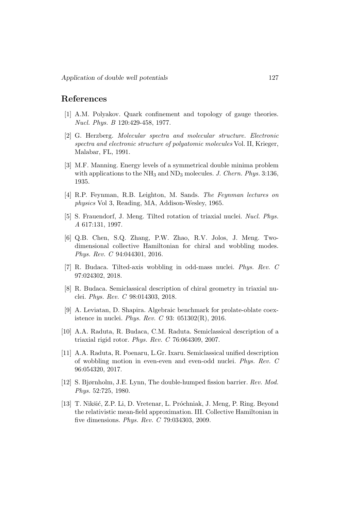#### References

- [1] A.M. Polyakov. Quark confinement and topology of gauge theories. Nucl. Phys. B 120:429-458, 1977.
- [2] G. Herzberg. Molecular spectra and molecular structure. Electronic spectra and electronic structure of polyatomic molecules Vol. II, Krieger, Malabar, FL, 1991.
- [3] M.F. Manning. Energy levels of a symmetrical double minima problem with applications to the  $NH_3$  and  $ND_3$  molecules. J. Chern. Phys. 3:136, 1935.
- [4] R.P. Feynman, R.B. Leighton, M. Sands. The Feynman lectures on physics Vol 3, Reading, MA, Addison-Wesley, 1965.
- [5] S. Frauendorf, J. Meng. Tilted rotation of triaxial nuclei. Nucl. Phys. A 617:131, 1997.
- [6] Q.B. Chen, S.Q. Zhang, P.W. Zhao, R.V. Jolos, J. Meng. Twodimensional collective Hamiltonian for chiral and wobbling modes. Phys. Rev. C 94:044301, 2016.
- [7] R. Budaca. Tilted-axis wobbling in odd-mass nuclei. Phys. Rev. C 97:024302, 2018.
- [8] R. Budaca. Semiclassical description of chiral geometry in triaxial nuclei. Phys. Rev. C 98:014303, 2018.
- [9] A. Leviatan, D. Shapira. Algebraic benchmark for prolate-oblate coexistence in nuclei. Phys. Rev. C 93: 051302(R), 2016.
- [10] A.A. Raduta, R. Budaca, C.M. Raduta. Semiclassical description of a triaxial rigid rotor. Phys. Rev. C 76:064309, 2007.
- [11] A.A. Raduta, R. Poenaru, L.Gr. Ixaru. Semiclassical unified description of wobbling motion in even-even and even-odd nuclei. Phys. Rev. C 96:054320, 2017.
- [12] S. Bjørnholm, J.E. Lynn, The double-humped fission barrier. Rev. Mod. Phys. 52:725, 1980.
- [13] T. Nikšić, Z.P. Li, D. Vretenar, L. Próchniak, J. Meng, P. Ring. Beyond the relativistic mean-field approximation. III. Collective Hamiltonian in five dimensions. Phys. Rev. C 79:034303, 2009.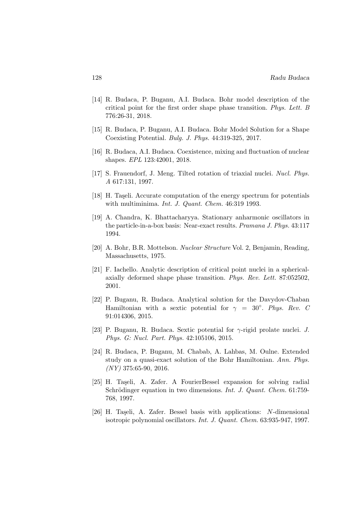- [14] R. Budaca, P. Buganu, A.I. Budaca. Bohr model description of the critical point for the first order shape phase transition. Phys. Lett. B 776:26-31, 2018.
- [15] R. Budaca, P. Buganu, A.I. Budaca. Bohr Model Solution for a Shape Coexisting Potential. Bulg. J. Phys. 44:319-325, 2017.
- [16] R. Budaca, A.I. Budaca. Coexistence, mixing and fluctuation of nuclear shapes. EPL 123:42001, 2018.
- [17] S. Frauendorf, J. Meng. Tilted rotation of triaxial nuclei. Nucl. Phys. A 617:131, 1997.
- [18] H. Taşeli. Accurate computation of the energy spectrum for potentials with multiminima. Int. J. Quant. Chem. 46:319 1993.
- [19] A. Chandra, K. Bhattacharyya. Stationary anharmonic oscillators in the particle-in-a-box basis: Near-exact results. Pramana J. Phys. 43:117 1994.
- [20] A. Bohr, B.R. Mottelson. Nuclear Structure Vol. 2, Benjamin, Reading, Massachusetts, 1975.
- [21] F. Iachello. Analytic description of critical point nuclei in a sphericalaxially deformed shape phase transition. Phys. Rev. Lett. 87:052502, 2001.
- [22] P. Buganu, R. Budaca. Analytical solution for the Davydov-Chaban Hamiltonian with a sextic potential for  $\gamma = 30^{\circ}$ . Phys. Rev. C 91:014306, 2015.
- [23] P. Buganu, R. Budaca. Sextic potential for γ-rigid prolate nuclei. J. Phys. G: Nucl. Part. Phys. 42:105106, 2015.
- [24] R. Budaca, P. Buganu, M. Chabab, A. Lahbas, M. Oulne. Extended study on a quasi-exact solution of the Bohr Hamiltonian. Ann. Phys.  $(NY)$  375:65-90, 2016.
- [25] H. Taşeli, A. Zafer. A FourierBessel expansion for solving radial Schrödinger equation in two dimensions. Int. J. Quant. Chem. 61:759-768, 1997.
- [26] H. Taşeli, A. Zafer. Bessel basis with applications: N-dimensional isotropic polynomial oscillators. Int. J. Quant. Chem. 63:935-947, 1997.